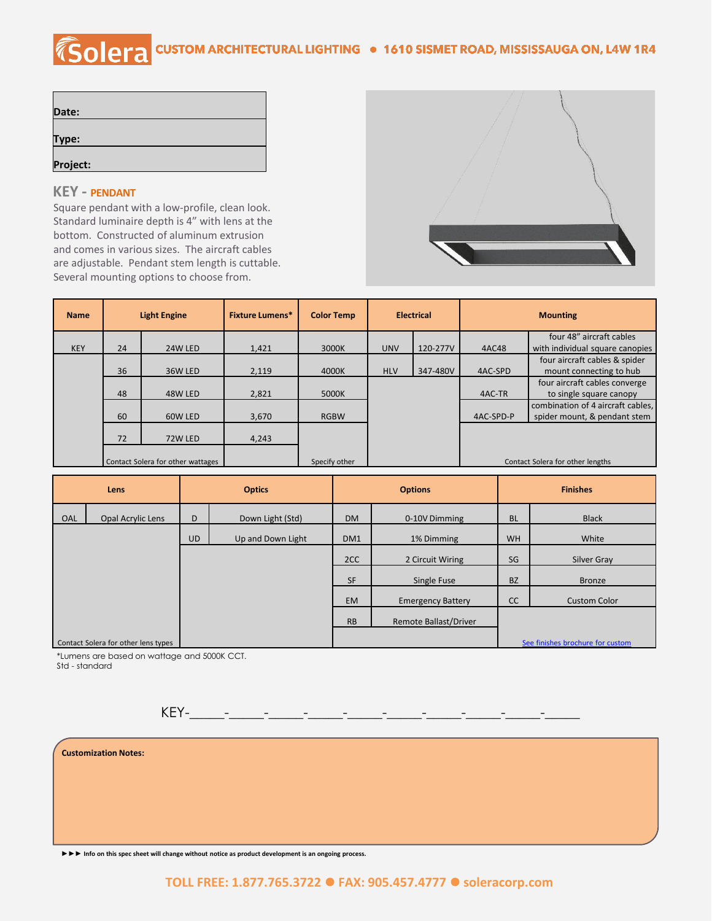## COIETA CUSTOM ARCHITECTURAL LIGHTING . 1610 SISMET ROAD, MISSISSAUGA ON, L4W 1R4

| Date:    |  |  |
|----------|--|--|
|          |  |  |
| Type:    |  |  |
|          |  |  |
| Project: |  |  |

## **KEY - PENDANT**

Square pendant with a low-profile, clean look. Standard luminaire depth is 4" with lens at the bottom. Constructed of aluminum extrusion and comes in various sizes. The aircraft cables are adjustable. Pendant stem length is cuttable. Several mounting options to choose from.



| <b>Name</b> | <b>Light Engine</b>               |         | <b>Fixture Lumens*</b> | <b>Color Temp</b> | <b>Electrical</b> |          | <b>Mounting</b>                  |                                   |
|-------------|-----------------------------------|---------|------------------------|-------------------|-------------------|----------|----------------------------------|-----------------------------------|
|             |                                   |         |                        |                   |                   |          |                                  | four 48" aircraft cables          |
| <b>KEY</b>  | 24                                | 24W LED | 1,421                  | 3000K             | <b>UNV</b>        | 120-277V | 4AC48                            | with individual square canopies   |
|             |                                   |         |                        |                   |                   |          |                                  | four aircraft cables & spider     |
|             | 36                                | 36W LED | 2,119                  | 4000K             | <b>HLV</b>        | 347-480V | 4AC-SPD                          | mount connecting to hub           |
|             |                                   |         |                        |                   |                   |          |                                  | four aircraft cables converge     |
|             | 48                                | 48W LED | 2,821                  | 5000K             |                   |          | 4AC-TR                           | to single square canopy           |
|             |                                   |         |                        |                   |                   |          |                                  | combination of 4 aircraft cables, |
|             | 60                                | 60W LED | 3,670                  | <b>RGBW</b>       |                   |          | 4AC-SPD-P                        | spider mount, & pendant stem      |
|             | 72                                | 72W LED | 4,243                  |                   |                   |          |                                  |                                   |
|             | Contact Solera for other wattages |         | Specify other          |                   |                   |          | Contact Solera for other lengths |                                   |

| Lens |                                     | <b>Optics</b> |                   |           | <b>Options</b>           | <b>Finishes</b> |                                  |
|------|-------------------------------------|---------------|-------------------|-----------|--------------------------|-----------------|----------------------------------|
| OAL  | Opal Acrylic Lens                   | D             | Down Light (Std)  | <b>DM</b> | 0-10V Dimming            | <b>BL</b>       | <b>Black</b>                     |
|      |                                     | <b>UD</b>     | Up and Down Light | DM1       | 1% Dimming               | <b>WH</b>       | White                            |
|      |                                     |               |                   | 2CC       | 2 Circuit Wiring         | SG              | Silver Gray                      |
|      |                                     |               |                   | <b>SF</b> | Single Fuse              | <b>BZ</b>       | <b>Bronze</b>                    |
|      |                                     |               |                   | <b>EM</b> | <b>Emergency Battery</b> | cc              | <b>Custom Color</b>              |
|      |                                     |               |                   | <b>RB</b> | Remote Ballast/Driver    |                 |                                  |
|      | Contact Solera for other lens types |               |                   |           |                          |                 | See finishes brochure for custom |

\*Lumens are based on wattage and 5000K CCT.

Std - standard





**►►► Info on this spec sheet will change without notice as product development is an ongoing process.**

## **TOLL FREE: 1.877.765.3722** ⚫ **FAX: 905.457.4777** ⚫ **soleracorp.com**